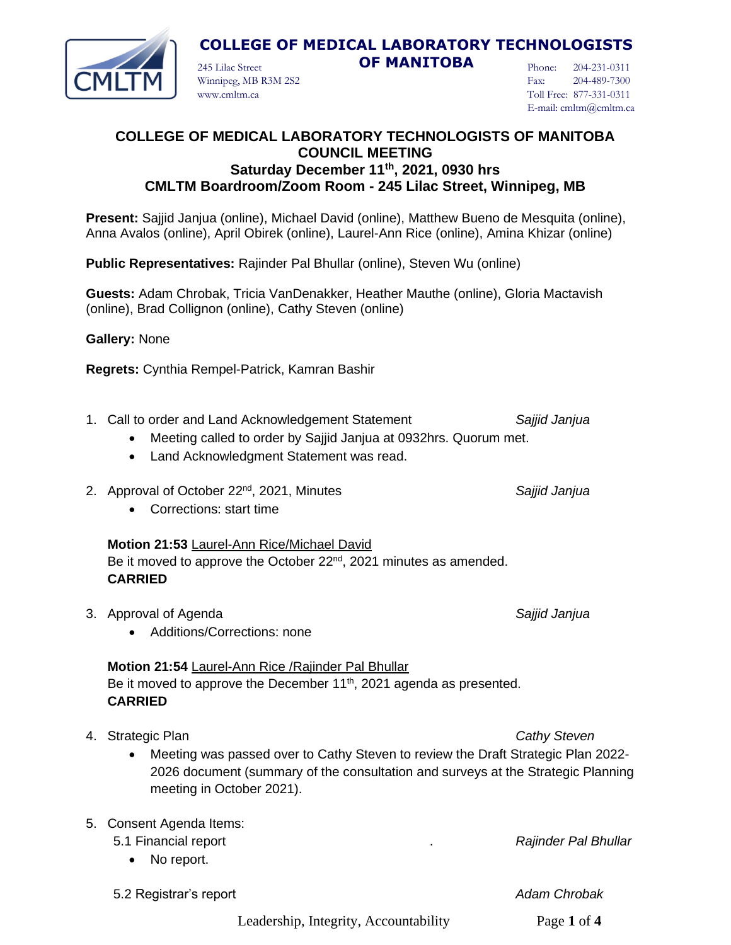

## **COLLEGE OF MEDICAL LABORATORY TECHNOLOGISTS**

245 Lilac Street **OF MANITOBA**

Phone: 204-231-0311 Fax: 204-489-7300 Toll Free: 877-331-0311 E-mail: cmltm@cmltm.ca

### **COLLEGE OF MEDICAL LABORATORY TECHNOLOGISTS OF MANITOBA COUNCIL MEETING Saturday December 11th, 2021, 0930 hrs CMLTM Boardroom/Zoom Room - 245 Lilac Street, Winnipeg, MB**

**Present:** Sajjid Janjua (online), Michael David (online), Matthew Bueno de Mesquita (online), Anna Avalos (online), April Obirek (online), Laurel-Ann Rice (online), Amina Khizar (online)

**Public Representatives:** Rajinder Pal Bhullar (online), Steven Wu (online)

**Guests:** Adam Chrobak, Tricia VanDenakker, Heather Mauthe (online), Gloria Mactavish (online), Brad Collignon (online), Cathy Steven (online)

**Gallery:** None

**Regrets:** Cynthia Rempel-Patrick, Kamran Bashir

Winnipeg, MB R3M 2S2

www.cmltm.ca

- 1. Call to order and Land Acknowledgement Statement *Sajjid Janjua*
	- Meeting called to order by Sajjid Janjua at 0932hrs. Quorum met.
	- Land Acknowledgment Statement was read.
- 2. Approval of October 22<sup>nd</sup>, 2021, Minutes **Saggian and Saling Saggian** Sajjid Janjua
	- Corrections: start time

### **Motion 21:53** Laurel-Ann Rice/Michael David

Be it moved to approve the October 22<sup>nd</sup>, 2021 minutes as amended. **CARRIED**

- 3. Approval of Agenda *Sajjid Janjua*
	- Additions/Corrections: none

## **Motion 21:54** Laurel-Ann Rice /Rajinder Pal Bhullar

Be it moved to approve the December  $11<sup>th</sup>$ , 2021 agenda as presented. **CARRIED**

- 4. Strategic Plan *Cathy Steven*
	- Meeting was passed over to Cathy Steven to review the Draft Strategic Plan 2022- 2026 document (summary of the consultation and surveys at the Strategic Planning meeting in October 2021).

### 5. Consent Agenda Items:

- 5.1 Financial report . *Rajinder Pal Bhullar*
	- No report.

5.2 Registrar's report *Adam Chrobak*

Leadership, Integrity, Accountability Page **1** of **4**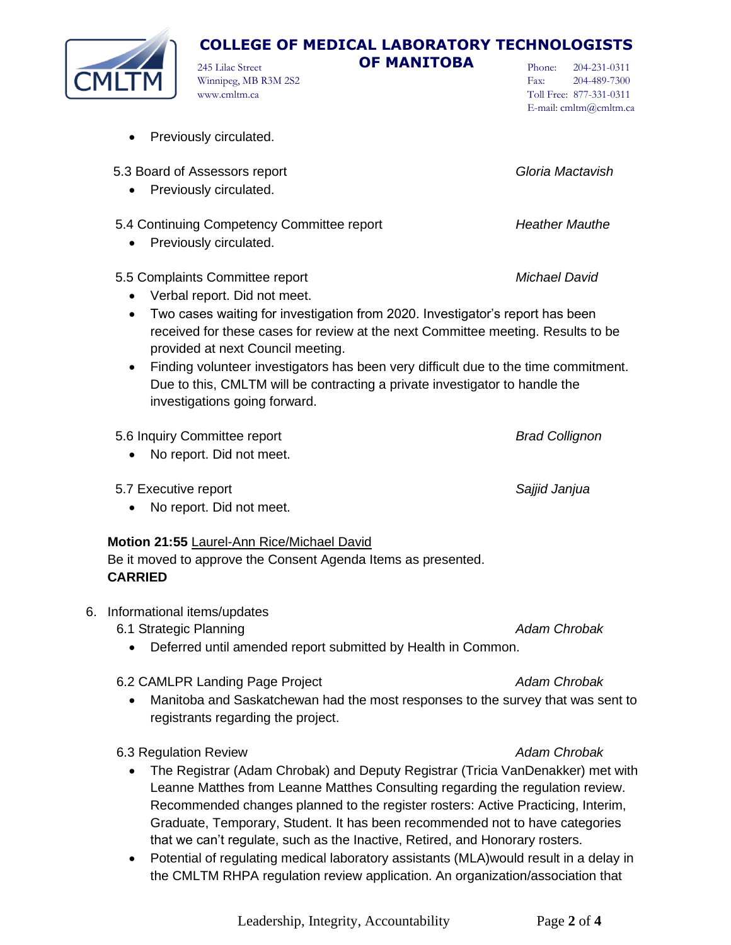### 5.4 Continuing Competency Committee report *Heather Mauthe* • Previously circulated.

5.5 Complaints Committee report *Michael David*

• Previously circulated.

• Previously circulated.

• Verbal report. Did not meet.

Winnipeg, MB R3M 2S2

www.cmltm.ca

- Two cases waiting for investigation from 2020. Investigator's report has been received for these cases for review at the next Committee meeting. Results to be provided at next Council meeting.
- Finding volunteer investigators has been very difficult due to the time commitment. Due to this, CMLTM will be contracting a private investigator to handle the investigations going forward.

## 5.6 Inquiry Committee report *Brad Collignon*

- No report. Did not meet.
- 5.7 Executive report *Sajjid Janjua*
	- No report. Did not meet.

## **Motion 21:55** Laurel-Ann Rice/Michael David

Be it moved to approve the Consent Agenda Items as presented. **CARRIED**

- 6. Informational items/updates
	- 6.1 Strategic Planning **Adam Chrobak Adam Chrobak Adam Chrobak Adam Chrobak** 
		- Deferred until amended report submitted by Health in Common.

## 6.2 CAMLPR Landing Page Project *Adam Chrobak*

• Manitoba and Saskatchewan had the most responses to the survey that was sent to registrants regarding the project.

6.3 Regulation Review *Adam Chrobak*

- The Registrar (Adam Chrobak) and Deputy Registrar (Tricia VanDenakker) met with Leanne Matthes from Leanne Matthes Consulting regarding the regulation review. Recommended changes planned to the register rosters: Active Practicing, Interim, Graduate, Temporary, Student. It has been recommended not to have categories that we can't regulate, such as the Inactive, Retired, and Honorary rosters.
- Potential of regulating medical laboratory assistants (MLA)would result in a delay in the CMLTM RHPA regulation review application. An organization/association that

# **COLLEGE OF MEDICAL LABORATORY TECHNOLOGISTS**

245 Lilac Street **OF MANITOBA**

Phone: 204-231-0311 Fax: 204-489-7300 Toll Free: 877-331-0311 E-mail: cmltm@cmltm.ca



5.3 Board of Assessors report *Gloria Mactavish*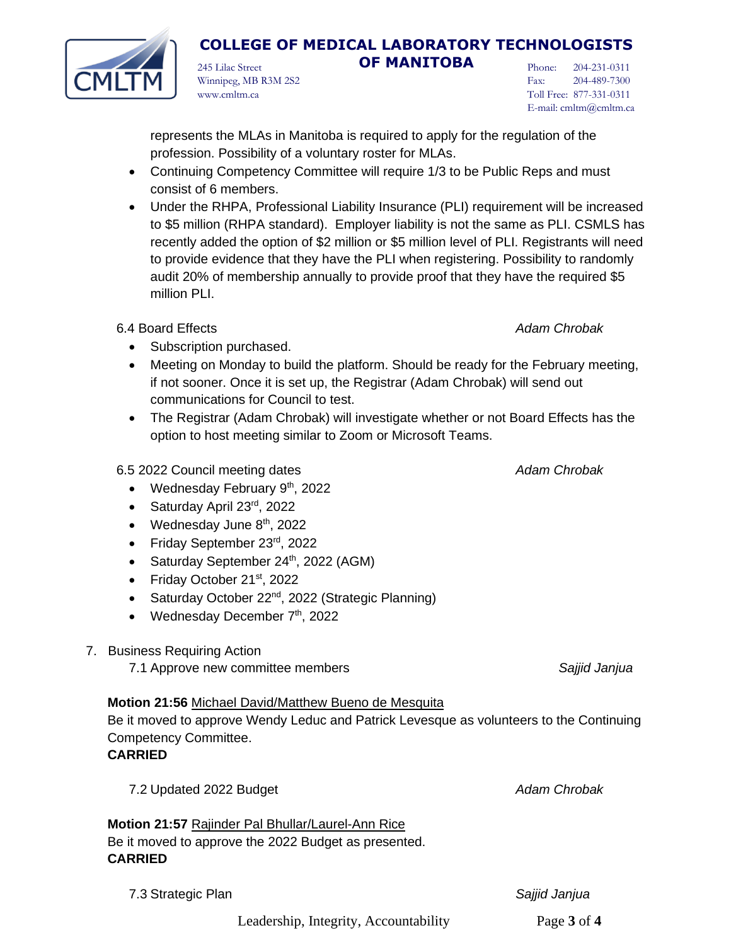Leadership, Integrity, Accountability Page **3** of **4**

245 Lilac Street **OF MANITOBA**

represents the MLAs in Manitoba is required to apply for the regulation of the profession. Possibility of a voluntary roster for MLAs.

- Continuing Competency Committee will require 1/3 to be Public Reps and must consist of 6 members.
- Under the RHPA, Professional Liability Insurance (PLI) requirement will be increased to \$5 million (RHPA standard). Employer liability is not the same as PLI. CSMLS has recently added the option of \$2 million or \$5 million level of PLI. Registrants will need to provide evidence that they have the PLI when registering. Possibility to randomly audit 20% of membership annually to provide proof that they have the required \$5 million PLI.

6.4 Board Effects *Adam Chrobak*

- Subscription purchased.
- Meeting on Monday to build the platform. Should be ready for the February meeting, if not sooner. Once it is set up, the Registrar (Adam Chrobak) will send out communications for Council to test.
- The Registrar (Adam Chrobak) will investigate whether or not Board Effects has the option to host meeting similar to Zoom or Microsoft Teams.

## 6.5 2022 Council meeting dates *Adam Chrobak*

- Wednesday February  $9<sup>th</sup>$ , 2022
- Saturday April 23rd, 2022
- Wednesday June  $8<sup>th</sup>$ , 2022
- Friday September 23rd, 2022
- Saturday September 24<sup>th</sup>, 2022 (AGM)
- Friday October 21<sup>st</sup>, 2022
- Saturday October 22<sup>nd</sup>, 2022 (Strategic Planning)
- Wednesday December  $7<sup>th</sup>$ , 2022
- 7. Business Requiring Action
	- 7.1 Approve new committee members *Sajjid Janjua*

## **Motion 21:56** Michael David/Matthew Bueno de Mesquita

Be it moved to approve Wendy Leduc and Patrick Levesque as volunteers to the Continuing Competency Committee.

## **CARRIED**

**CARRIED**

7.2 Updated 2022 Budget *Adam Chrobak*

**Motion 21:57** Rajinder Pal Bhullar/Laurel-Ann Rice Be it moved to approve the 2022 Budget as presented.

7.3 Strategic Plan *Sajjid Janjua*





Phone: 204-231-0311 Fax: 204-489-7300 Toll Free: 877-331-0311 E-mail: cmltm@cmltm.ca